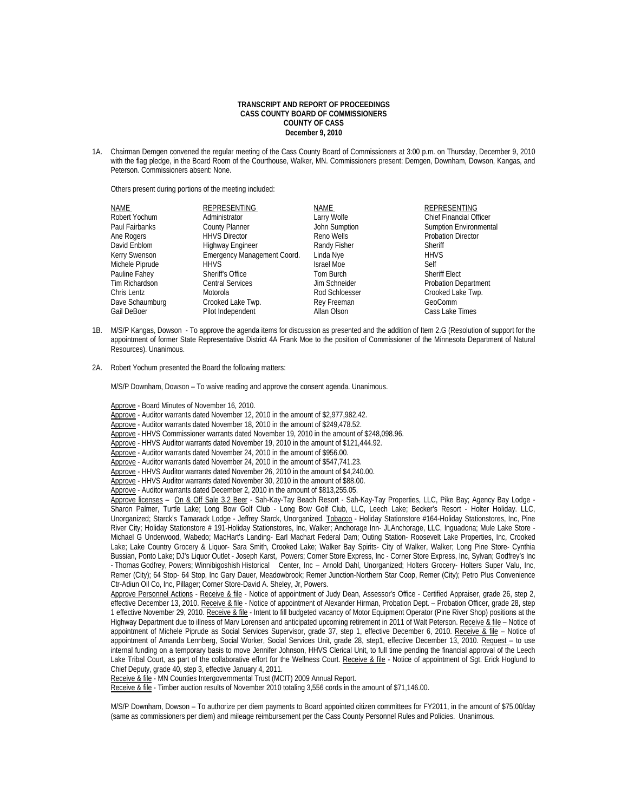## **TRANSCRIPT AND REPORT OF PROCEEDINGS CASS COUNTY BOARD OF COMMISSIONERS COUNTY OF CASS December 9, 2010**

1A. Chairman Demgen convened the regular meeting of the Cass County Board of Commissioners at 3:00 p.m. on Thursday, December 9, 2010 with the flag pledge, in the Board Room of the Courthouse, Walker, MN. Commissioners present: Demgen, Downham, Dowson, Kangas, and Peterson. Commissioners absent: None.

Others present during portions of the meeting included:

| NAME            | REPRESENTING                | NAME              | REPRESENTING                  |
|-----------------|-----------------------------|-------------------|-------------------------------|
| Robert Yochum   | Administrator               | Larry Wolfe       | Chief Financial Officer       |
| Paul Fairbanks  | <b>County Planner</b>       | John Sumption     | <b>Sumption Environmental</b> |
| Ane Rogers      | <b>HHVS Director</b>        | Reno Wells        | <b>Probation Director</b>     |
| David Enblom    | Highway Engineer            | Randy Fisher      | Sheriff                       |
| Kerry Swenson   | Emergency Management Coord. | Linda Nye         | <b>HHVS</b>                   |
| Michele Piprude | <b>HHVS</b>                 | <b>Israel Moe</b> | Self                          |
| Pauline Fahey   | Sheriff's Office            | Tom Burch         | <b>Sheriff Elect</b>          |
| Tim Richardson  | <b>Central Services</b>     | Jim Schneider     | <b>Probation Department</b>   |
| Chris Lentz     | Motorola                    | Rod Schloesser    | Crooked Lake Twp.             |
| Dave Schaumburg | Crooked Lake Twp.           | Rey Freeman       | GeoComm                       |
| Gail DeBoer     | Pilot Independent           | Allan Olson       | Cass Lake Times               |

- 1B. M/S/P Kangas, Dowson To approve the agenda items for discussion as presented and the addition of Item 2.G (Resolution of support for the appointment of former State Representative District 4A Frank Moe to the position of Commissioner of the Minnesota Department of Natural Resources). Unanimous.
- 2A. Robert Yochum presented the Board the following matters:

M/S/P Downham, Dowson – To waive reading and approve the consent agenda. Unanimous.

Approve - Board Minutes of November 16, 2010.

- Approve Auditor warrants dated November 12, 2010 in the amount of \$2,977,982.42.
- Approve Auditor warrants dated November 18, 2010 in the amount of \$249,478.52.
- Approve HHVS Commissioner warrants dated November 19, 2010 in the amount of \$248,098.96.
- Approve HHVS Auditor warrants dated November 19, 2010 in the amount of \$121,444.92.
- Approve Auditor warrants dated November 24, 2010 in the amount of \$956.00.

Approve - Auditor warrants dated November 24, 2010 in the amount of \$547,741.23.

Approve - HHVS Auditor warrants dated November 26, 2010 in the amount of \$4,240.00.

Approve - HHVS Auditor warrants dated November 30, 2010 in the amount of \$88.00.

Approve - Auditor warrants dated December 2, 2010 in the amount of \$813,255.05.

Approve licenses - On & Off Sale 3.2 Beer - Sah-Kay-Tay Beach Resort - Sah-Kay-Tay Properties, LLC, Pike Bay; Agency Bay Lodge -Sharon Palmer, Turtle Lake; Long Bow Golf Club - Long Bow Golf Club, LLC, Leech Lake; Becker's Resort - Holter Holiday. LLC, Unorganized; Starck's Tamarack Lodge - Jeffrey Starck, Unorganized. Tobacco - Holiday Stationstore #164-Holiday Stationstores, Inc, Pine River City; Holiday Stationstore # 191-Holiday Stationstores, Inc, Walker; Anchorage Inn- JLAnchorage, LLC, Inguadona; Mule Lake Store - Michael G Underwood, Wabedo; MacHart's Landing- Earl Machart Federal Dam; Outing Station- Roosevelt Lake Properties, Inc, Crooked Lake; Lake Country Grocery & Liquor- Sara Smith, Crooked Lake; Walker Bay Spirits- City of Walker, Walker; Long Pine Store- Cynthia Bussian, Ponto Lake; DJ's Liquor Outlet - Joseph Karst, Powers; Corner Store Express, Inc - Corner Store Express, Inc, Sylvan; Godfrey's Inc - Thomas Godfrey, Powers; Winnibigoshish Historical Center, Inc – Arnold Dahl, Unorganized; Holters Grocery- Holters Super Valu, Inc, Remer (City); 64 Stop- 64 Stop, Inc Gary Dauer, Meadowbrook; Remer Junction-Northern Star Coop, Remer (City); Petro Plus Convenience Ctr-Adiun Oil Co, Inc, Pillager; Corner Store-David A. Sheley, Jr, Powers.

Approve Personnel Actions - Receive & file - Notice of appointment of Judy Dean, Assessor's Office - Certified Appraiser, grade 26, step 2, effective December 13, 2010. Receive & file - Notice of appointment of Alexander Hirman, Probation Dept. - Probation Officer, grade 28, step 1 effective November 29, 2010. Receive & file - Intent to fill budgeted vacancy of Motor Equipment Operator (Pine River Shop) positions at the Highway Department due to illness of Marv Lorensen and anticipated upcoming retirement in 2011 of Walt Peterson. Receive & file - Notice of appointment of Michele Piprude as Social Services Supervisor, grade 37, step 1, effective December 6, 2010. Receive & file - Notice of appointment of Amanda Lennberg, Social Worker, Social Services Unit, grade 28, step1, effective December 13, 2010. Request - to use internal funding on a temporary basis to move Jennifer Johnson, HHVS Clerical Unit, to full time pending the financial approval of the Leech Lake Tribal Court, as part of the collaborative effort for the Wellness Court. Receive & file - Notice of appointment of Sgt. Erick Hoglund to Chief Deputy, grade 40, step 3, effective January 4, 2011.

Receive & file - MN Counties Intergovernmental Trust (MCIT) 2009 Annual Report.

Receive & file - Timber auction results of November 2010 totaling 3,556 cords in the amount of \$71,146.00.

 M/S/P Downham, Dowson – To authorize per diem payments to Board appointed citizen committees for FY2011, in the amount of \$75.00/day (same as commissioners per diem) and mileage reimbursement per the Cass County Personnel Rules and Policies. Unanimous.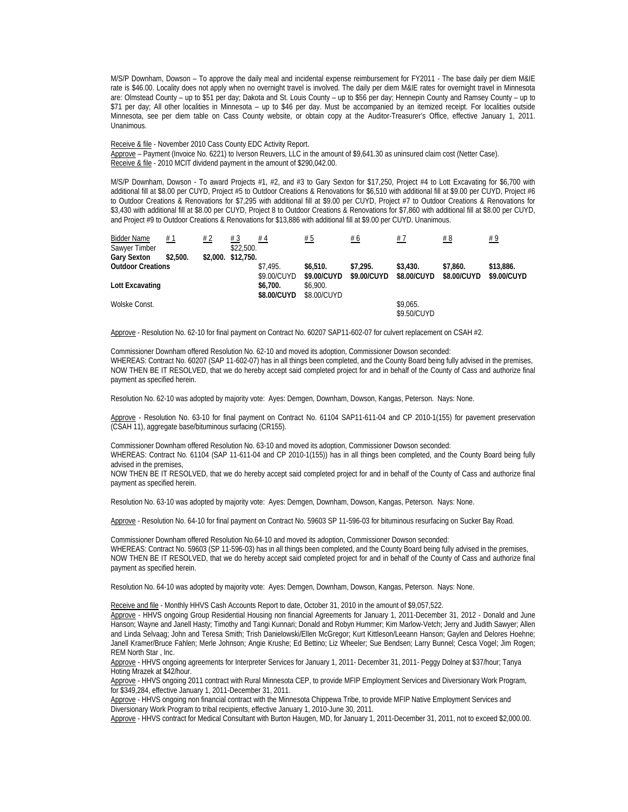M/S/P Downham, Dowson – To approve the daily meal and incidental expense reimbursement for FY2011 - The base daily per diem M&IE rate is \$46.00. Locality does not apply when no overnight travel is involved. The daily per diem M&IE rates for overnight travel in Minnesota are: Olmstead County – up to \$51 per day; Dakota and St. Louis County – up to \$56 per day; Hennepin County and Ramsey County – up to \$71 per day; All other localities in Minnesota – up to \$46 per day. Must be accompanied by an itemized receipt. For localities outside Minnesota, see per diem table on Cass County website, or obtain copy at the Auditor-Treasurer's Office, effective January 1, 2011. Unanimous.

 Receive & file - November 2010 Cass County EDC Activity Report. Approve - Payment (Invoice No. 6221) to Iverson Reuvers, LLC in the amount of \$9,641.30 as uninsured claim cost (Netter Case). Receive & file - 2010 MCIT dividend payment in the amount of \$290,042.00.

 M/S/P Downham, Dowson - To award Projects #1, #2, and #3 to Gary Sexton for \$17,250, Project #4 to Lott Excavating for \$6,700 with additional fill at \$8.00 per CUYD, Project #5 to Outdoor Creations & Renovations for \$6,510 with additional fill at \$9.00 per CUYD, Project #6 to Outdoor Creations & Renovations for \$7,295 with additional fill at \$9.00 per CUYD, Project #7 to Outdoor Creations & Renovations for \$3,430 with additional fill at \$8.00 per CUYD, Project 8 to Outdoor Creations & Renovations for \$7,860 with additional fill at \$8.00 per CUYD, and Project #9 to Outdoor Creations & Renovations for \$13,886 with additional fill at \$9.00 per CUYD. Unanimous.

| <b>Bidder Name</b>       | # 1      | # 2 | #3                 | #4          | # 5         | # 6         | #7          | # 8         | #9          |
|--------------------------|----------|-----|--------------------|-------------|-------------|-------------|-------------|-------------|-------------|
| Sawyer Timber            |          |     | \$22,500.          |             |             |             |             |             |             |
| <b>Gary Sexton</b>       | \$2.500. |     | \$2,000. \$12,750. |             |             |             |             |             |             |
| <b>Outdoor Creations</b> |          |     |                    | \$7.495.    | \$6.510.    | \$7,295.    | \$3,430.    | \$7.860.    | \$13,886.   |
|                          |          |     |                    | \$9.00/CUYD | \$9.00/CUYD | \$9.00/CUYD | \$8.00/CUYD | \$8.00/CUYD | \$9.00/CUYD |
| Lott Excavating          |          |     |                    | \$6.700.    | \$6.900.    |             |             |             |             |
|                          |          |     |                    | \$8.00/CUYD | \$8,00/CUYD |             |             |             |             |
| Wolske Const.            |          |     |                    |             |             |             | \$9.065.    |             |             |
|                          |          |     |                    |             |             |             | \$9.50/CUYD |             |             |

Approve - Resolution No. 62-10 for final payment on Contract No. 60207 SAP11-602-07 for culvert replacement on CSAH #2.

 Commissioner Downham offered Resolution No. 62-10 and moved its adoption, Commissioner Dowson seconded: WHEREAS: Contract No. 60207 (SAP 11-602-07) has in all things been completed, and the County Board being fully advised in the premises, NOW THEN BE IT RESOLVED, that we do hereby accept said completed project for and in behalf of the County of Cass and authorize final payment as specified herein.

Resolution No. 62-10 was adopted by majority vote: Ayes: Demgen, Downham, Dowson, Kangas, Peterson. Nays: None.

 Approve - Resolution No. 63-10 for final payment on Contract No. 61104 SAP11-611-04 and CP 2010-1(155) for pavement preservation (CSAH 11), aggregate base/bituminous surfacing (CR155).

Commissioner Downham offered Resolution No. 63-10 and moved its adoption, Commissioner Dowson seconded:

WHEREAS: Contract No. 61104 (SAP 11-611-04 and CP 2010-1(155)) has in all things been completed, and the County Board being fully advised in the premises,

NOW THEN BE IT RESOLVED, that we do hereby accept said completed project for and in behalf of the County of Cass and authorize final payment as specified herein.

Resolution No. 63-10 was adopted by majority vote: Ayes: Demgen, Downham, Dowson, Kangas, Peterson. Nays: None.

Approve - Resolution No. 64-10 for final payment on Contract No. 59603 SP 11-596-03 for bituminous resurfacing on Sucker Bay Road.

 Commissioner Downham offered Resolution No.64-10 and moved its adoption, Commissioner Dowson seconded: WHEREAS: Contract No. 59603 (SP 11-596-03) has in all things been completed, and the County Board being fully advised in the premises, NOW THEN BE IT RESOLVED, that we do hereby accept said completed project for and in behalf of the County of Cass and authorize final payment as specified herein.

Resolution No. 64-10 was adopted by majority vote: Ayes: Demgen, Downham, Dowson, Kangas, Peterson. Nays: None.

Receive and file - Monthly HHVS Cash Accounts Report to date, October 31, 2010 in the amount of \$9,057,522.

 Approve - HHVS ongoing Group Residential Housing non financial Agreements for January 1, 2011-December 31, 2012 - Donald and June Hanson; Wayne and Janell Hasty; Timothy and Tangi Kunnari; Donald and Robyn Hummer; Kim Marlow-Vetch; Jerry and Judith Sawyer; Allen and Linda Selvaag; John and Teresa Smith; Trish Danielowski/Ellen McGregor; Kurt Kittleson/Leeann Hanson; Gaylen and Delores Hoehne; Janell Kramer/Bruce Fahlen; Merle Johnson; Angie Krushe; Ed Bettino; Liz Wheeler; Sue Bendsen; Larry Bunnel; Cesca Vogel; Jim Rogen; REM North Star , Inc.

Approve - HHVS ongoing agreements for Interpreter Services for January 1, 2011- December 31, 2011- Peggy Dolney at \$37/hour; Tanya Hoting Mrazek at \$42/hour.

Approve - HHVS ongoing 2011 contract with Rural Minnesota CEP, to provide MFIP Employment Services and Diversionary Work Program, for \$349,284, effective January 1, 2011-December 31, 2011.

 Approve - HHVS ongoing non financial contract with the Minnesota Chippewa Tribe, to provide MFIP Native Employment Services and Diversionary Work Program to tribal recipients, effective January 1, 2010-June 30, 2011.

Approve - HHVS contract for Medical Consultant with Burton Haugen, MD, for January 1, 2011-December 31, 2011, not to exceed \$2,000.00.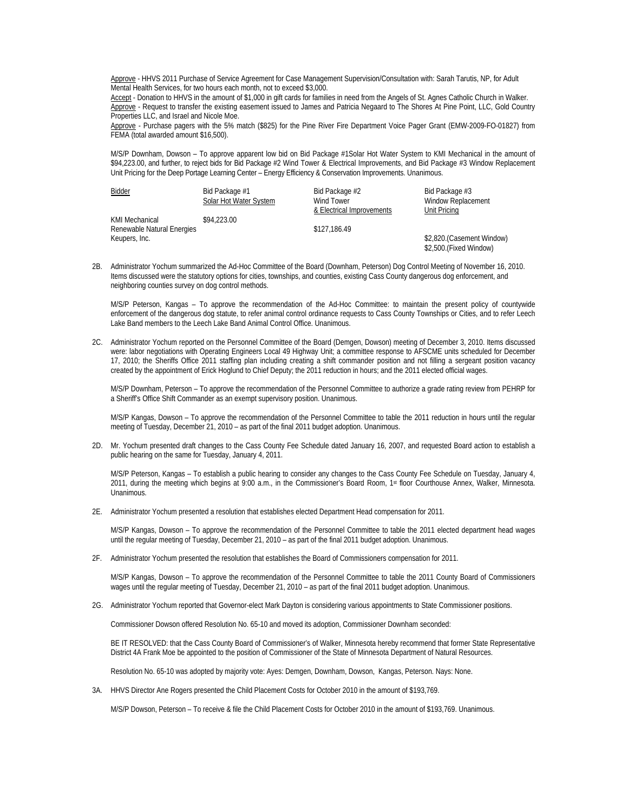Approve - HHVS 2011 Purchase of Service Agreement for Case Management Supervision/Consultation with: Sarah Tarutis, NP, for Adult Mental Health Services, for two hours each month, not to exceed \$3,000.

Accept - Donation to HHVS in the amount of \$1,000 in gift cards for families in need from the Angels of St. Agnes Catholic Church in Walker. Approve - Request to transfer the existing easement issued to James and Patricia Negaard to The Shores At Pine Point, LLC, Gold Country Properties LLC, and Israel and Nicole Moe.

 Approve - Purchase pagers with the 5% match (\$825) for the Pine River Fire Department Voice Pager Grant (EMW-2009-FO-01827) from FEMA (total awarded amount \$16,500).

 M/S/P Downham, Dowson – To approve apparent low bid on Bid Package #1Solar Hot Water System to KMI Mechanical in the amount of \$94,223.00, and further, to reject bids for Bid Package #2 Wind Tower & Electrical Improvements, and Bid Package #3 Window Replacement Unit Pricing for the Deep Portage Learning Center – Energy Efficiency & Conservation Improvements. Unanimous.

| <b>Bidder</b>              | Bid Package #1<br>Solar Hot Water System | Bid Package #2<br>Wind Tower | Bid Package #3<br>Window Replacement                |
|----------------------------|------------------------------------------|------------------------------|-----------------------------------------------------|
|                            |                                          | & Electrical Improvements    | Unit Pricing                                        |
| KMI Mechanical             | \$94,223.00                              |                              |                                                     |
| Renewable Natural Energies |                                          | \$127,186.49                 |                                                     |
| Keupers, Inc.              |                                          |                              | \$2,820.(Casement Window)<br>\$2,500.(Fixed Window) |

2B. Administrator Yochum summarized the Ad-Hoc Committee of the Board (Downham, Peterson) Dog Control Meeting of November 16, 2010. Items discussed were the statutory options for cities, townships, and counties, existing Cass County dangerous dog enforcement, and neighboring counties survey on dog control methods.

M/S/P Peterson, Kangas – To approve the recommendation of the Ad-Hoc Committee: to maintain the present policy of countywide enforcement of the dangerous dog statute, to refer animal control ordinance requests to Cass County Townships or Cities, and to refer Leech Lake Band members to the Leech Lake Band Animal Control Office. Unanimous.

2C. Administrator Yochum reported on the Personnel Committee of the Board (Demgen, Dowson) meeting of December 3, 2010. Items discussed were: labor negotiations with Operating Engineers Local 49 Highway Unit; a committee response to AFSCME units scheduled for December 17, 2010; the Sheriffs Office 2011 staffing plan including creating a shift commander position and not filling a sergeant position vacancy created by the appointment of Erick Hoglund to Chief Deputy; the 2011 reduction in hours; and the 2011 elected official wages.

M/S/P Downham, Peterson – To approve the recommendation of the Personnel Committee to authorize a grade rating review from PEHRP for a Sheriff's Office Shift Commander as an exempt supervisory position. Unanimous.

 M/S/P Kangas, Dowson – To approve the recommendation of the Personnel Committee to table the 2011 reduction in hours until the regular meeting of Tuesday, December 21, 2010 – as part of the final 2011 budget adoption. Unanimous.

2D. Mr. Yochum presented draft changes to the Cass County Fee Schedule dated January 16, 2007, and requested Board action to establish a public hearing on the same for Tuesday, January 4, 2011.

M/S/P Peterson, Kangas – To establish a public hearing to consider any changes to the Cass County Fee Schedule on Tuesday, January 4, 2011, during the meeting which begins at 9:00 a.m., in the Commissioner's Board Room, 1st floor Courthouse Annex, Walker, Minnesota. Unanimous.

2E. Administrator Yochum presented a resolution that establishes elected Department Head compensation for 2011.

M/S/P Kangas, Dowson – To approve the recommendation of the Personnel Committee to table the 2011 elected department head wages until the regular meeting of Tuesday, December 21, 2010 – as part of the final 2011 budget adoption. Unanimous.

2F. Administrator Yochum presented the resolution that establishes the Board of Commissioners compensation for 2011.

M/S/P Kangas, Dowson – To approve the recommendation of the Personnel Committee to table the 2011 County Board of Commissioners wages until the regular meeting of Tuesday, December 21, 2010 – as part of the final 2011 budget adoption. Unanimous.

2G. Administrator Yochum reported that Governor-elect Mark Dayton is considering various appointments to State Commissioner positions.

Commissioner Dowson offered Resolution No. 65-10 and moved its adoption, Commissioner Downham seconded:

BE IT RESOLVED: that the Cass County Board of Commissioner's of Walker, Minnesota hereby recommend that former State Representative District 4A Frank Moe be appointed to the position of Commissioner of the State of Minnesota Department of Natural Resources.

Resolution No. 65-10 was adopted by majority vote: Ayes: Demgen, Downham, Dowson, Kangas, Peterson. Nays: None.

3A. HHVS Director Ane Rogers presented the Child Placement Costs for October 2010 in the amount of \$193,769.

M/S/P Dowson, Peterson – To receive & file the Child Placement Costs for October 2010 in the amount of \$193,769. Unanimous.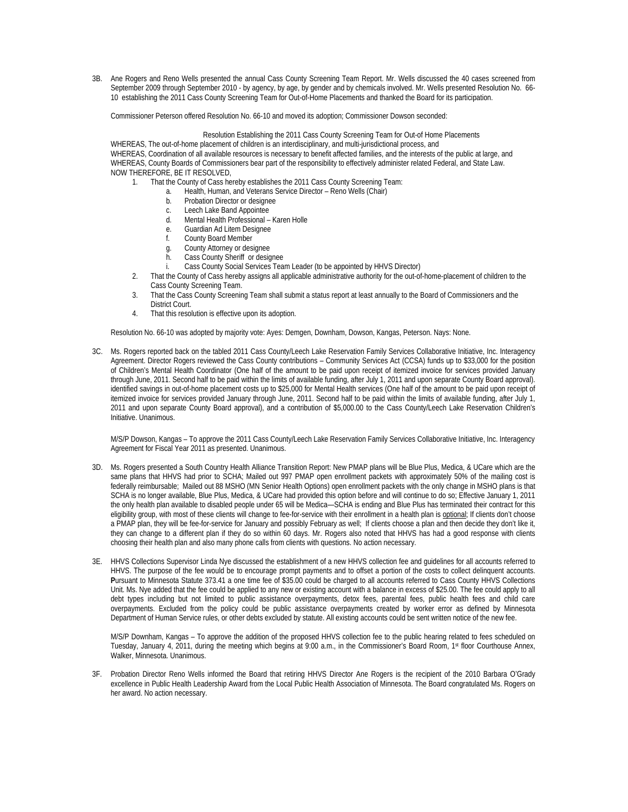3B. Ane Rogers and Reno Wells presented the annual Cass County Screening Team Report. Mr. Wells discussed the 40 cases screened from September 2009 through September 2010 - by agency, by age, by gender and by chemicals involved. Mr. Wells presented Resolution No. 66- 10 establishing the 2011 Cass County Screening Team for Out-of-Home Placements and thanked the Board for its participation.

Commissioner Peterson offered Resolution No. 66-10 and moved its adoption; Commissioner Dowson seconded:

## Resolution Establishing the 2011 Cass County Screening Team for Out-of Home Placements

WHEREAS, The out-of-home placement of children is an interdisciplinary, and multi-jurisdictional process, and WHEREAS, Coordination of all available resources is necessary to benefit affected families, and the interests of the public at large, and WHEREAS, County Boards of Commissioners bear part of the responsibility to effectively administer related Federal, and State Law. NOW THEREFORE, BE IT RESOLVED,

- 1. That the County of Cass hereby establishes the 2011 Cass County Screening Team:
	- a. Health, Human, and Veterans Service Director Reno Wells (Chair)
	- b. Probation Director or designee
	- c. Leech Lake Band Appointee<br>d. Mental Health Professional –
	- Mental Health Professional Karen Holle
	- e. Guardian Ad Litem Designee
	- f. County Board Member
	- g. County Attorney or designee
	- **Cass County Sheriff or designee**
	- i. Cass County Social Services Team Leader (to be appointed by HHVS Director)
	- 2. That the County of Cass hereby assigns all applicable administrative authority for the out-of-home-placement of children to the Cass County Screening Team.
	- 3. That the Cass County Screening Team shall submit a status report at least annually to the Board of Commissioners and the District Court.
	- 4. That this resolution is effective upon its adoption.

Resolution No. 66-10 was adopted by majority vote: Ayes: Demgen, Downham, Dowson, Kangas, Peterson. Nays: None.

3C. Ms. Rogers reported back on the tabled 2011 Cass County/Leech Lake Reservation Family Services Collaborative Initiative, Inc. Interagency Agreement. Director Rogers reviewed the Cass County contributions – Community Services Act (CCSA) funds up to \$33,000 for the position of Children's Mental Health Coordinator (One half of the amount to be paid upon receipt of itemized invoice for services provided January through June, 2011. Second half to be paid within the limits of available funding, after July 1, 2011 and upon separate County Board approval). identified savings in out-of-home placement costs up to \$25,000 for Mental Health services (One half of the amount to be paid upon receipt of itemized invoice for services provided January through June, 2011. Second half to be paid within the limits of available funding, after July 1, 2011 and upon separate County Board approval), and a contribution of \$5,000.00 to the Cass County/Leech Lake Reservation Children's Initiative. Unanimous.

M/S/P Dowson, Kangas – To approve the 2011 Cass County/Leech Lake Reservation Family Services Collaborative Initiative, Inc. Interagency Agreement for Fiscal Year 2011 as presented. Unanimous.

- 3D. Ms. Rogers presented a South Country Health Alliance Transition Report: New PMAP plans will be Blue Plus, Medica, & UCare which are the same plans that HHVS had prior to SCHA; Mailed out 997 PMAP open enrollment packets with approximately 50% of the mailing cost is federally reimbursable; Mailed out 88 MSHO (MN Senior Health Options) open enrollment packets with the only change in MSHO plans is that SCHA is no longer available, Blue Plus, Medica, & UCare had provided this option before and will continue to do so; Effective January 1, 2011 the only health plan available to disabled people under 65 will be Medica—SCHA is ending and Blue Plus has terminated their contract for this eligibility group, with most of these clients will change to fee-for-service with their enrollment in a health plan is optional; If clients don't choose a PMAP plan, they will be fee-for-service for January and possibly February as well; If clients choose a plan and then decide they don't like it, they can change to a different plan if they do so within 60 days. Mr. Rogers also noted that HHVS has had a good response with clients choosing their health plan and also many phone calls from clients with questions. No action necessary.
- 3E. HHVS Collections Supervisor Linda Nye discussed the establishment of a new HHVS collection fee and guidelines for all accounts referred to HHVS. The purpose of the fee would be to encourage prompt payments and to offset a portion of the costs to collect delinquent accounts. **P**ursuant to Minnesota Statute 373.41 a one time fee of \$35.00 could be charged to all accounts referred to Cass County HHVS Collections Unit. Ms. Nye added that the fee could be applied to any new or existing account with a balance in excess of \$25.00. The fee could apply to all debt types including but not limited to public assistance overpayments, detox fees, parental fees, public health fees and child care overpayments. Excluded from the policy could be public assistance overpayments created by worker error as defined by Minnesota Department of Human Service rules, or other debts excluded by statute. All existing accounts could be sent written notice of the new fee.

M/S/P Downham, Kangas – To approve the addition of the proposed HHVS collection fee to the public hearing related to fees scheduled on Tuesday, January 4, 2011, during the meeting which begins at 9:00 a.m., in the Commissioner's Board Room, 1st floor Courthouse Annex, Walker, Minnesota. Unanimous.

3F. Probation Director Reno Wells informed the Board that retiring HHVS Director Ane Rogers is the recipient of the 2010 Barbara O'Grady excellence in Public Health Leadership Award from the Local Public Health Association of Minnesota. The Board congratulated Ms. Rogers on her award. No action necessary.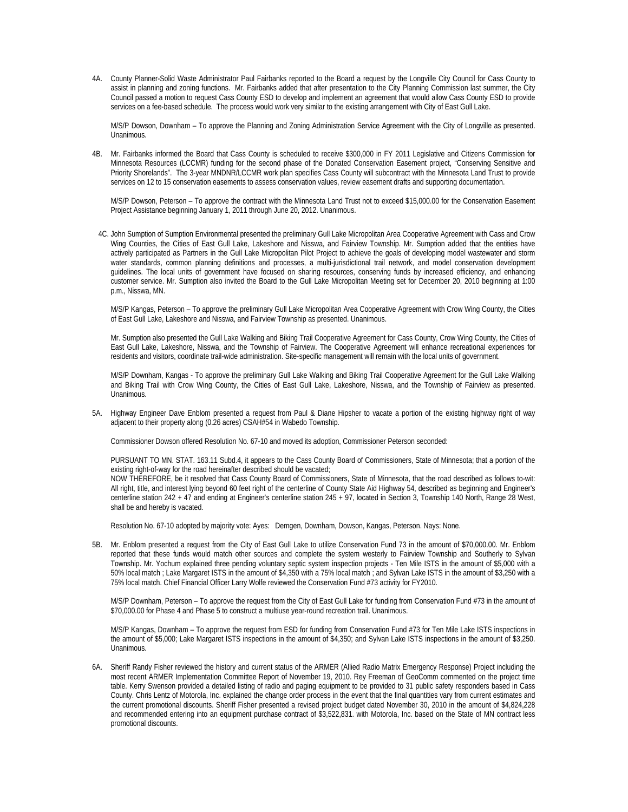4A. County Planner-Solid Waste Administrator Paul Fairbanks reported to the Board a request by the Longville City Council for Cass County to assist in planning and zoning functions. Mr. Fairbanks added that after presentation to the City Planning Commission last summer, the City Council passed a motion to request Cass County ESD to develop and implement an agreement that would allow Cass County ESD to provide services on a fee-based schedule. The process would work very similar to the existing arrangement with City of East Gull Lake.

M/S/P Dowson, Downham – To approve the Planning and Zoning Administration Service Agreement with the City of Longville as presented. Unanimous.

4B. Mr. Fairbanks informed the Board that Cass County is scheduled to receive \$300,000 in FY 2011 Legislative and Citizens Commission for Minnesota Resources (LCCMR) funding for the second phase of the Donated Conservation Easement project, "Conserving Sensitive and Priority Shorelands". The 3-year MNDNR/LCCMR work plan specifies Cass County will subcontract with the Minnesota Land Trust to provide services on 12 to 15 conservation easements to assess conservation values, review easement drafts and supporting documentation.

 M/S/P Dowson, Peterson – To approve the contract with the Minnesota Land Trust not to exceed \$15,000.00 for the Conservation Easement Project Assistance beginning January 1, 2011 through June 20, 2012. Unanimous.

4C. John Sumption of Sumption Environmental presented the preliminary Gull Lake Micropolitan Area Cooperative Agreement with Cass and Crow Wing Counties, the Cities of East Gull Lake, Lakeshore and Nisswa, and Fairview Township. Mr. Sumption added that the entities have actively participated as Partners in the Gull Lake Micropolitan Pilot Project to achieve the goals of developing model wastewater and storm water standards, common planning definitions and processes, a multi-jurisdictional trail network, and model conservation development guidelines. The local units of government have focused on sharing resources, conserving funds by increased efficiency, and enhancing customer service. Mr. Sumption also invited the Board to the Gull Lake Micropolitan Meeting set for December 20, 2010 beginning at 1:00 p.m., Nisswa, MN.

 M/S/P Kangas, Peterson – To approve the preliminary Gull Lake Micropolitan Area Cooperative Agreement with Crow Wing County, the Cities of East Gull Lake, Lakeshore and Nisswa, and Fairview Township as presented. Unanimous.

 Mr. Sumption also presented the Gull Lake Walking and Biking Trail Cooperative Agreement for Cass County, Crow Wing County, the Cities of East Gull Lake, Lakeshore, Nisswa, and the Township of Fairview. The Cooperative Agreement will enhance recreational experiences for residents and visitors, coordinate trail-wide administration. Site-specific management will remain with the local units of government.

M/S/P Downham, Kangas - To approve the preliminary Gull Lake Walking and Biking Trail Cooperative Agreement for the Gull Lake Walking and Biking Trail with Crow Wing County, the Cities of East Gull Lake, Lakeshore, Nisswa, and the Township of Fairview as presented. Unanimous.

5A. Highway Engineer Dave Enblom presented a request from Paul & Diane Hipsher to vacate a portion of the existing highway right of way adjacent to their property along (0.26 acres) CSAH#54 in Wabedo Township.

Commissioner Dowson offered Resolution No. 67-10 and moved its adoption, Commissioner Peterson seconded:

PURSUANT TO MN. STAT. 163.11 Subd.4, it appears to the Cass County Board of Commissioners, State of Minnesota; that a portion of the existing right-of-way for the road hereinafter described should be vacated; NOW THEREFORE, be it resolved that Cass County Board of Commissioners, State of Minnesota, that the road described as follows to-wit: All right, title, and interest lying beyond 60 feet right of the centerline of County State Aid Highway 54, described as beginning and Engineer's centerline station 242 + 47 and ending at Engineer's centerline station 245 + 97, located in Section 3, Township 140 North, Range 28 West, shall be and hereby is vacated.

Resolution No. 67-10 adopted by majority vote: Ayes: Demgen, Downham, Dowson, Kangas, Peterson. Nays: None.

5B. Mr. Enblom presented a request from the City of East Gull Lake to utilize Conservation Fund 73 in the amount of \$70,000.00. Mr. Enblom reported that these funds would match other sources and complete the system westerly to Fairview Township and Southerly to Sylvan Township. Mr. Yochum explained three pending voluntary septic system inspection projects - Ten Mile ISTS in the amount of \$5,000 with a 50% local match ; Lake Margaret ISTS in the amount of \$4,350 with a 75% local match ; and Sylvan Lake ISTS in the amount of \$3,250 with a 75% local match. Chief Financial Officer Larry Wolfe reviewed the Conservation Fund #73 activity for FY2010.

M/S/P Downham, Peterson – To approve the request from the City of East Gull Lake for funding from Conservation Fund #73 in the amount of \$70,000.00 for Phase 4 and Phase 5 to construct a multiuse year-round recreation trail. Unanimous.

M/S/P Kangas, Downham – To approve the request from ESD for funding from Conservation Fund #73 for Ten Mile Lake ISTS inspections in the amount of \$5,000; Lake Margaret ISTS inspections in the amount of \$4,350; and Sylvan Lake ISTS inspections in the amount of \$3,250. Unanimous.

6A. Sheriff Randy Fisher reviewed the history and current status of the ARMER (Allied Radio Matrix Emergency Response) Project including the most recent ARMER Implementation Committee Report of November 19, 2010. Rey Freeman of GeoComm commented on the project time table. Kerry Swenson provided a detailed listing of radio and paging equipment to be provided to 31 public safety responders based in Cass County. Chris Lentz of Motorola, Inc. explained the change order process in the event that the final quantities vary from current estimates and the current promotional discounts. Sheriff Fisher presented a revised project budget dated November 30, 2010 in the amount of \$4,824,228 and recommended entering into an equipment purchase contract of \$3,522,831. with Motorola, Inc. based on the State of MN contract less promotional discounts.